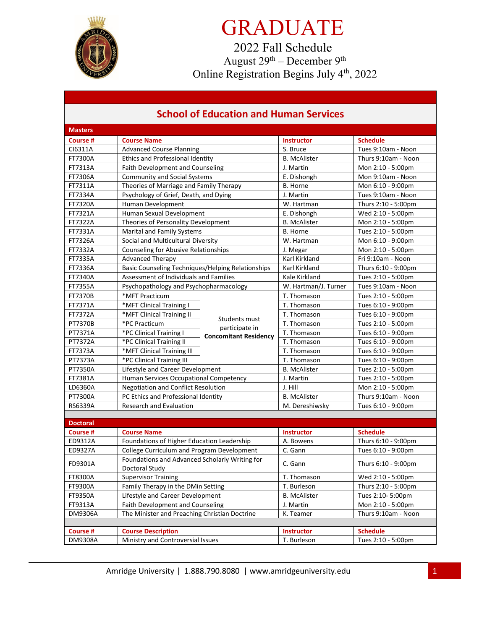

# GRADUATE

2022 Fall Schedule August  $29<sup>th</sup>$  – December  $9<sup>th</sup>$ Online Registration Begins July 4<sup>th</sup>, 2022

### **School of Education and Human Services**

| <b>Masters</b>  |                                                                  |                                                |                      |                     |
|-----------------|------------------------------------------------------------------|------------------------------------------------|----------------------|---------------------|
| Course #        | <b>Course Name</b>                                               |                                                | <b>Instructor</b>    | <b>Schedule</b>     |
| CI6311A         | <b>Advanced Course Planning</b>                                  |                                                | S. Bruce             | Tues 9:10am - Noon  |
| FT7300A         | <b>Ethics and Professional Identity</b>                          |                                                | <b>B.</b> McAlister  | Thurs 9:10am - Noon |
| FT7313A         | Faith Development and Counseling                                 |                                                | J. Martin            | Mon 2:10 - 5:00pm   |
| FT7306A         | <b>Community and Social Systems</b>                              |                                                | E. Dishongh          | Mon 9:10am - Noon   |
| FT7311A         | Theories of Marriage and Family Therapy                          |                                                | B. Horne             | Mon 6:10 - 9:00pm   |
| FT7334A         | Psychology of Grief, Death, and Dying                            |                                                | J. Martin            | Tues 9:10am - Noon  |
| FT7320A         | Human Development                                                |                                                | W. Hartman           | Thurs 2:10 - 5:00pm |
| FT7321A         | Human Sexual Development                                         |                                                | E. Dishongh          | Wed 2:10 - 5:00pm   |
| FT7322A         | Theories of Personality Development                              |                                                | <b>B.</b> McAlister  | Mon 2:10 - 5:00pm   |
| FT7331A         | Marital and Family Systems                                       |                                                | <b>B.</b> Horne      | Tues 2:10 - 5:00pm  |
| FT7326A         | Social and Multicultural Diversity                               |                                                | W. Hartman           | Mon 6:10 - 9:00pm   |
| FT7332A         | Counseling for Abusive Relationships                             |                                                | J. Megar             | Mon 2:10 - 5:00pm   |
| FT7335A         | <b>Advanced Therapy</b>                                          |                                                | Karl Kirkland        | Fri 9:10am - Noon   |
| FT7336A         | <b>Basic Counseling Techniques/Helping Relationships</b>         |                                                | Karl Kirkland        | Thurs 6:10 - 9:00pm |
| FT7340A         | Assessment of Individuals and Families                           |                                                | Kale Kirkland        | Tues 2:10 - 5:00pm  |
| FT7355A         | Psychopathology and Psychopharmacology                           |                                                | W. Hartman/J. Turner | Tues 9:10am - Noon  |
| <b>FT7370B</b>  | *MFT Practicum                                                   |                                                | T. Thomason          | Tues 2:10 - 5:00pm  |
| FT7371A         | *MFT Clinical Training I                                         |                                                | T. Thomason          | Tues 6:10 - 9:00pm  |
| <b>FT7372A</b>  | *MFT Clinical Training II                                        |                                                | T. Thomason          | Tues 6:10 - 9:00pm  |
| PT7370B         | *PC Practicum                                                    | <b>Students must</b>                           | T. Thomason          | Tues 2:10 - 5:00pm  |
| PT7371A         | *PC Clinical Training I                                          | participate in<br><b>Concomitant Residency</b> | T. Thomason          | Tues 6:10 - 9:00pm  |
| PT7372A         | *PC Clinical Training II                                         |                                                | T. Thomason          | Tues 6:10 - 9:00pm  |
| FT7373A         | *MFT Clinical Training III                                       |                                                | T. Thomason          | Tues 6:10 - 9:00pm  |
| PT7373A         | *PC Clinical Training III                                        |                                                | T. Thomason          | Tues 6:10 - 9:00pm  |
| PT7350A         | Lifestyle and Career Development                                 |                                                | <b>B.</b> McAlister  | Tues 2:10 - 5:00pm  |
| FT7381A         | Human Services Occupational Competency                           |                                                | J. Martin            | Tues 2:10 - 5:00pm  |
| LD6360A         | Negotiation and Conflict Resolution                              |                                                | J. Hill              | Mon 2:10 - 5:00pm   |
| PT7300A         | PC Ethics and Professional Identity                              |                                                | <b>B.</b> McAlister  | Thurs 9:10am - Noon |
| RS6339A         | <b>Research and Evaluation</b>                                   |                                                | M. Dereshiwsky       | Tues 6:10 - 9:00pm  |
|                 |                                                                  |                                                |                      |                     |
| <b>Doctoral</b> |                                                                  |                                                |                      |                     |
| Course #        | <b>Course Name</b>                                               |                                                | <b>Instructor</b>    | <b>Schedule</b>     |
| ED9312A         | Foundations of Higher Education Leadership                       |                                                | A. Bowens            | Thurs 6:10 - 9:00pm |
| ED9327A         | College Curriculum and Program Development                       |                                                | C. Gann              | Tues 6:10 - 9:00pm  |
| FD9301A         | Foundations and Advanced Scholarly Writing for<br>Doctoral Study |                                                | C. Gann              | Thurs 6:10 - 9:00pm |
| FT8300A         | <b>Supervisor Training</b>                                       |                                                | T. Thomason          | Wed 2:10 - 5:00pm   |
| FT9300A         | Family Therapy in the DMin Setting                               |                                                | T. Burleson          | Thurs 2:10 - 5:00pm |
| FT9350A         | Lifestyle and Career Development                                 |                                                | <b>B.</b> McAlister  | Tues 2:10-5:00pm    |
| FT9313A         | Faith Development and Counseling                                 |                                                | J. Martin            | Mon 2:10 - 5:00pm   |
| DM9306A         | The Minister and Preaching Christian Doctrine                    |                                                | K. Teamer            | Thurs 9:10am - Noon |
|                 |                                                                  |                                                |                      |                     |
| <b>Course#</b>  | <b>Course Description</b>                                        |                                                | <b>Instructor</b>    | <b>Schedule</b>     |
| DM9308A         | Ministry and Controversial Issues                                |                                                | T. Burleson          | Tues 2:10 - 5:00pm  |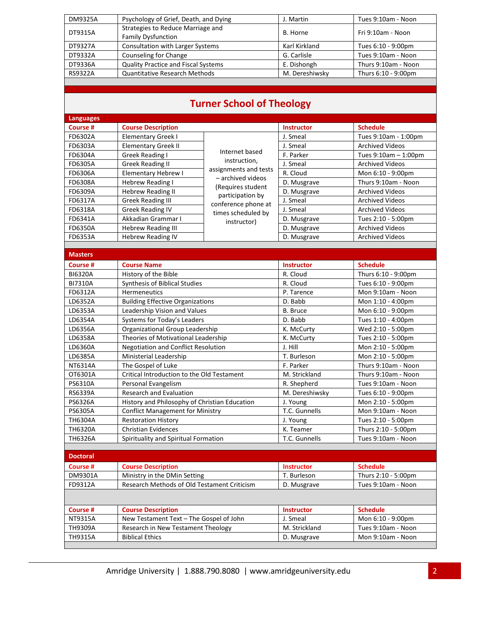| DM9325A        | Psychology of Grief, Death, and Dying                          | J. Martin      | Tues 9:10am - Noon  |
|----------------|----------------------------------------------------------------|----------------|---------------------|
| DT9315A        | Strategies to Reduce Marriage and<br><b>Family Dysfunction</b> | B. Horne       | Fri 9:10am - Noon   |
| DT9327A        | <b>Consultation with Larger Systems</b>                        | Karl Kirkland  | Tues 6:10 - 9:00pm  |
| DT9332A        | Counseling for Change                                          | G. Carlisle    | Tues 9:10am - Noon  |
| DT9336A        | <b>Quality Practice and Fiscal Systems</b>                     | E. Dishongh    | Thurs 9:10am - Noon |
| <b>RS9322A</b> | <b>Quantitative Research Methods</b>                           | M. Dereshiwsky | Thurs 6:10 - 9:00pm |
|                |                                                                |                |                     |

## **Turner School of Theology**

| <b>Languages</b> |                                               |                                         |                   |                           |
|------------------|-----------------------------------------------|-----------------------------------------|-------------------|---------------------------|
| <b>Course #</b>  | <b>Course Description</b>                     |                                         | <b>Instructor</b> | <b>Schedule</b>           |
| FD6302A          | <b>Elementary Greek I</b>                     |                                         | J. Smeal          | Tues 9:10am - 1:00pm      |
| FD6303A          | <b>Elementary Greek II</b>                    |                                         | J. Smeal          | <b>Archived Videos</b>    |
| FD6304A          | Greek Reading I                               | Internet based                          | F. Parker         | Tues $9:10$ am $-1:00$ pm |
| FD6305A          | <b>Greek Reading II</b>                       | instruction,                            | J. Smeal          | <b>Archived Videos</b>    |
| FD6306A          | Elementary Hebrew I                           | assignments and tests                   | R. Cloud          | Mon 6:10 - 9:00pm         |
| FD6308A          | Hebrew Reading I                              | - archived videos                       | D. Musgrave       | Thurs 9:10am - Noon       |
| FD6309A          | <b>Hebrew Reading II</b>                      | (Requires student                       | D. Musgrave       | <b>Archived Videos</b>    |
| FD6317A          | <b>Greek Reading III</b>                      | participation by<br>conference phone at | J. Smeal          | <b>Archived Videos</b>    |
| FD6318A          | <b>Greek Reading IV</b>                       | times scheduled by                      | J. Smeal          | <b>Archived Videos</b>    |
| FD6341A          | Akkadian Grammar I                            | instructor)                             | D. Musgrave       | Tues 2:10 - 5:00pm        |
| FD6350A          | <b>Hebrew Reading III</b>                     |                                         | D. Musgrave       | <b>Archived Videos</b>    |
| FD6353A          | <b>Hebrew Reading IV</b>                      |                                         | D. Musgrave       | <b>Archived Videos</b>    |
|                  |                                               |                                         |                   |                           |
| <b>Masters</b>   |                                               |                                         |                   |                           |
| <b>Course#</b>   | <b>Course Name</b>                            |                                         | <b>Instructor</b> | <b>Schedule</b>           |
| <b>BI6320A</b>   | History of the Bible                          |                                         | R. Cloud          | Thurs 6:10 - 9:00pm       |
| <b>BI7310A</b>   | <b>Synthesis of Biblical Studies</b>          |                                         | R. Cloud          | Tues 6:10 - 9:00pm        |
| FD6312A          | Hermeneutics                                  |                                         | P. Tarence        | Mon 9:10am - Noon         |
| LD6352A          | <b>Building Effective Organizations</b>       |                                         | D. Babb           | Mon 1:10 - 4:00pm         |
| LD6353A          | Leadership Vision and Values                  |                                         | <b>B.</b> Bruce   | Mon 6:10 - 9:00pm         |
| LD6354A          | Systems for Today's Leaders                   |                                         | D. Babb           | Tues 1:10 - 4:00pm        |
| LD6356A          | Organizational Group Leadership               |                                         | K. McCurty        | Wed 2:10 - 5:00pm         |
| LD6358A          | Theories of Motivational Leadership           |                                         | K. McCurty        | Tues 2:10 - 5:00pm        |
| LD6360A          | <b>Negotiation and Conflict Resolution</b>    |                                         | J. Hill           | Mon 2:10 - 5:00pm         |
| LD6385A          | Ministerial Leadership                        |                                         | T. Burleson       | Mon 2:10 - 5:00pm         |
| NT6314A          | The Gospel of Luke                            |                                         | F. Parker         | Thurs 9:10am - Noon       |
| OT6301A          | Critical Introduction to the Old Testament    |                                         | M. Strickland     | Thurs 9:10am - Noon       |
| PS6310A          | Personal Evangelism                           |                                         | R. Shepherd       | Tues 9:10am - Noon        |
| RS6339A          | <b>Research and Evaluation</b>                |                                         | M. Dereshiwsky    | Tues 6:10 - 9:00pm        |
| PS6326A          | History and Philosophy of Christian Education |                                         | J. Young          | Mon 2:10 - 5:00pm         |
| PS6305A          | <b>Conflict Management for Ministry</b>       |                                         | T.C. Gunnells     | Mon 9:10am - Noon         |
| TH6304A          | <b>Restoration History</b>                    |                                         | J. Young          | Tues 2:10 - 5:00pm        |
| <b>TH6320A</b>   | <b>Christian Evidences</b>                    |                                         | K. Teamer         | Thurs 2:10 - 5:00pm       |
| <b>TH6326A</b>   | Spirituality and Spiritual Formation          |                                         | T.C. Gunnells     | Tues 9:10am - Noon        |
|                  |                                               |                                         |                   |                           |
| <b>Doctoral</b>  |                                               |                                         |                   |                           |
| <b>Course #</b>  | <b>Course Description</b>                     |                                         | <b>Instructor</b> | <b>Schedule</b>           |
| DM9301A          | Ministry in the DMin Setting                  |                                         | T. Burleson       | Thurs 2:10 - 5:00pm       |
| FD9312A          | Research Methods of Old Testament Criticism   |                                         | D. Musgrave       | Tues 9:10am - Noon        |
|                  |                                               |                                         |                   |                           |
| <b>Course #</b>  | <b>Course Description</b>                     |                                         | <b>Instructor</b> | <b>Schedule</b>           |
| NT9315A          | New Testament Text - The Gospel of John       |                                         | J. Smeal          | Mon 6:10 - 9:00pm         |
| TH9309A          | Research in New Testament Theology            |                                         | M. Strickland     | Tues 9:10am - Noon        |
| TH9315A          | <b>Biblical Ethics</b>                        |                                         | D. Musgrave       | Mon 9:10am - Noon         |
|                  |                                               |                                         |                   |                           |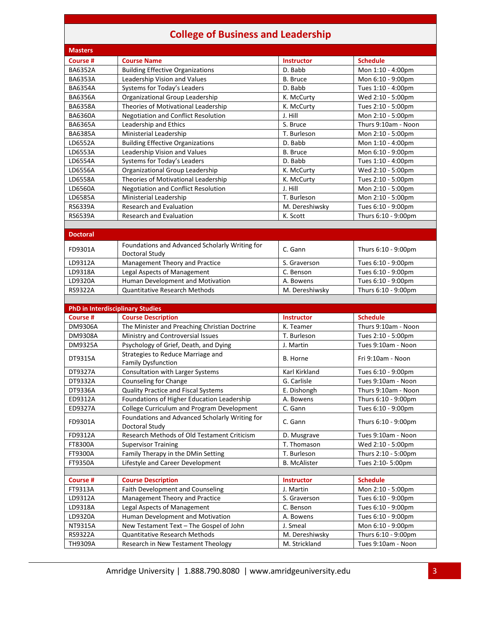### **College of Business and Leadership**

|                                         | Conege of Business and Leadership                                |                     |                     |
|-----------------------------------------|------------------------------------------------------------------|---------------------|---------------------|
| <b>Masters</b>                          |                                                                  |                     |                     |
| <b>Course #</b>                         | <b>Course Name</b>                                               | <b>Instructor</b>   | <b>Schedule</b>     |
| <b>BA6352A</b>                          | <b>Building Effective Organizations</b>                          | D. Babb             | Mon 1:10 - 4:00pm   |
| <b>BA6353A</b>                          | Leadership Vision and Values                                     | <b>B.</b> Bruce     | Mon 6:10 - 9:00pm   |
| <b>BA6354A</b>                          | Systems for Today's Leaders                                      | D. Babb             | Tues 1:10 - 4:00pm  |
| <b>BA6356A</b>                          | Organizational Group Leadership                                  | K. McCurty          | Wed 2:10 - 5:00pm   |
| <b>BA6358A</b>                          | Theories of Motivational Leadership                              | K. McCurty          | Tues 2:10 - 5:00pm  |
| <b>BA6360A</b>                          | <b>Negotiation and Conflict Resolution</b>                       | J. Hill             | Mon 2:10 - 5:00pm   |
| <b>BA6365A</b>                          | Leadership and Ethics                                            | S. Bruce            | Thurs 9:10am - Noon |
| <b>BA6385A</b>                          | Ministerial Leadership                                           | T. Burleson         | Mon 2:10 - 5:00pm   |
| LD6552A                                 | <b>Building Effective Organizations</b>                          | D. Babb             | Mon 1:10 - 4:00pm   |
| LD6553A                                 | Leadership Vision and Values                                     | <b>B.</b> Bruce     | Mon 6:10 - 9:00pm   |
| LD6554A                                 | Systems for Today's Leaders                                      | D. Babb             | Tues 1:10 - 4:00pm  |
| LD6556A                                 | Organizational Group Leadership                                  | K. McCurty          | Wed 2:10 - 5:00pm   |
| LD6558A                                 | Theories of Motivational Leadership                              | K. McCurty          | Tues 2:10 - 5:00pm  |
| LD6560A                                 | <b>Negotiation and Conflict Resolution</b>                       | J. Hill             | Mon 2:10 - 5:00pm   |
| LD6585A                                 | Ministerial Leadership                                           | T. Burleson         | Mon 2:10 - 5:00pm   |
| RS6339A                                 | <b>Research and Evaluation</b>                                   | M. Dereshiwsky      | Tues 6:10 - 9:00pm  |
| RS6539A                                 | <b>Research and Evaluation</b>                                   | K. Scott            | Thurs 6:10 - 9:00pm |
|                                         |                                                                  |                     |                     |
| <b>Doctoral</b>                         |                                                                  |                     |                     |
| FD9301A                                 | Foundations and Advanced Scholarly Writing for                   | C. Gann             | Thurs 6:10 - 9:00pm |
| LD9312A                                 | Doctoral Study<br>Management Theory and Practice                 | S. Graverson        | Tues 6:10 - 9:00pm  |
| LD9318A                                 | Legal Aspects of Management                                      | C. Benson           | Tues 6:10 - 9:00pm  |
| LD9320A                                 | Human Development and Motivation                                 | A. Bowens           | Tues 6:10 - 9:00pm  |
| RS9322A                                 | <b>Quantitative Research Methods</b>                             | M. Dereshiwsky      | Thurs 6:10 - 9:00pm |
|                                         |                                                                  |                     |                     |
| <b>PhD in Interdisciplinary Studies</b> |                                                                  |                     |                     |
| Course #                                | <b>Course Description</b>                                        | <b>Instructor</b>   | <b>Schedule</b>     |
| DM9306A                                 | The Minister and Preaching Christian Doctrine                    | K. Teamer           | Thurs 9:10am - Noon |
| DM9308A                                 | Ministry and Controversial Issues                                | T. Burleson         | Tues 2:10 - 5:00pm  |
| DM9325A                                 | Psychology of Grief, Death, and Dying                            | J. Martin           | Tues 9:10am - Noon  |
|                                         | Strategies to Reduce Marriage and                                |                     |                     |
| DT9315A                                 | <b>Family Dysfunction</b>                                        | B. Horne            | Fri 9:10am - Noon   |
| DT9327A                                 | Consultation with Larger Systems                                 | Karl Kirkland       | Tues 6:10 - 9:00pm  |
| DT9332A                                 | Counseling for Change                                            | G. Carlisle         | Tues 9:10am - Noon  |
| DT9336A                                 | Quality Practice and Fiscal Systems                              | E. Dishongh         | Thurs 9:10am - Noon |
| ED9312A                                 | Foundations of Higher Education Leadership                       | A. Bowens           | Thurs 6:10 - 9:00pm |
| ED9327A                                 | College Curriculum and Program Development                       | C. Gann             | Tues 6:10 - 9:00pm  |
| FD9301A                                 | Foundations and Advanced Scholarly Writing for<br>Doctoral Study | C. Gann             | Thurs 6:10 - 9:00pm |
| FD9312A                                 | Research Methods of Old Testament Criticism                      | D. Musgrave         | Tues 9:10am - Noon  |
| FT8300A                                 | <b>Supervisor Training</b>                                       | T. Thomason         | Wed 2:10 - 5:00pm   |
| FT9300A                                 | Family Therapy in the DMin Setting                               | T. Burleson         | Thurs 2:10 - 5:00pm |
| FT9350A                                 | Lifestyle and Career Development                                 | <b>B.</b> McAlister | Tues 2:10-5:00pm    |
|                                         |                                                                  |                     |                     |

| Course #       | <b>Course Description</b>               | <b>Instructor</b> | <b>Schedule</b>     |
|----------------|-----------------------------------------|-------------------|---------------------|
| FT9313A        | Faith Development and Counseling        | J. Martin         | Mon 2:10 - 5:00pm   |
| LD9312A        | Management Theory and Practice          | S. Graverson      | Tues 6:10 - 9:00pm  |
| LD9318A        | Legal Aspects of Management             | C. Benson         | Tues 6:10 - 9:00pm  |
| LD9320A        | Human Development and Motivation        | A. Bowens         | Tues 6:10 - 9:00pm  |
| NT9315A        | New Testament Text - The Gospel of John | J. Smeal          | Mon 6:10 - 9:00pm   |
| <b>RS9322A</b> | <b>Quantitative Research Methods</b>    | M. Dereshiwsky    | Thurs 6:10 - 9:00pm |
| TH9309A        | Research in New Testament Theology      | M. Strickland     | Tues 9:10am - Noon  |

Ξ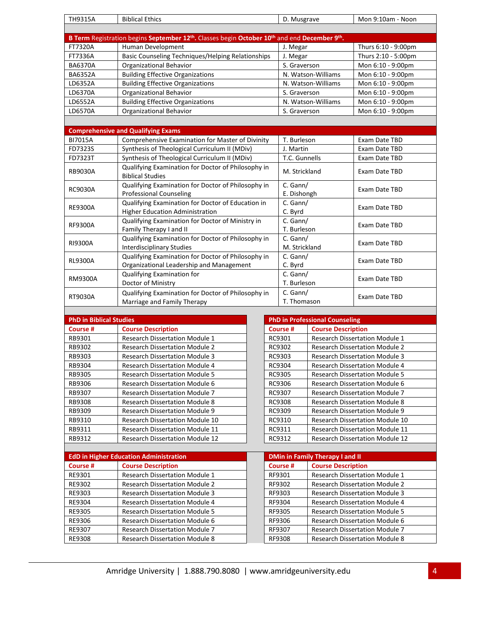| <b>TH9315A</b> | <b>Biblical Ethics</b>                                                                                                            | D. Musgrave        | Mon 9:10am - Noon   |  |
|----------------|-----------------------------------------------------------------------------------------------------------------------------------|--------------------|---------------------|--|
|                |                                                                                                                                   |                    |                     |  |
|                | B Term Registration begins September 12 <sup>th</sup> . Classes begin October 10 <sup>th</sup> and end December 9 <sup>th</sup> . |                    |                     |  |
| FT7320A        | Human Development                                                                                                                 | J. Megar           | Thurs 6:10 - 9:00pm |  |
| FT7336A        | Basic Counseling Techniques/Helping Relationships                                                                                 | J. Megar           | Thurs 2:10 - 5:00pm |  |
| <b>BA6370A</b> | <b>Organizational Behavior</b>                                                                                                    | S. Graverson       | Mon 6:10 - 9:00pm   |  |
| <b>BA6352A</b> | <b>Building Effective Organizations</b>                                                                                           | N. Watson-Williams | Mon 6:10 - 9:00pm   |  |
| LD6352A        | <b>Building Effective Organizations</b>                                                                                           | N. Watson-Williams | Mon 6:10 - 9:00pm   |  |
| LD6370A        | <b>Organizational Behavior</b>                                                                                                    | S. Graverson       | Mon 6:10 - 9:00pm   |  |
| LD6552A        | <b>Building Effective Organizations</b>                                                                                           | N. Watson-Williams | Mon 6:10 - 9:00pm   |  |
| LD6570A        | Organizational Behavior                                                                                                           | S. Graverson       | Mon 6:10 - 9:00pm   |  |
|                |                                                                                                                                   |                    |                     |  |
|                | <b>Comprehensive and Qualifying Exams</b>                                                                                         |                    |                     |  |
| <b>BI7015A</b> | Comprehensive Examination for Master of Divinity                                                                                  | T. Burleson        | Exam Date TBD       |  |
| FD7323S        | Synthesis of Theological Curriculum II (MDiv)                                                                                     | J. Martin          | Exam Date TBD       |  |
| FD7323T        | Synthesis of Theological Curriculum II (MDiv)                                                                                     | T.C. Gunnells      | Exam Date TBD       |  |
| <b>RB9030A</b> | Qualifying Examination for Doctor of Philosophy in<br><b>Biblical Studies</b>                                                     | M. Strickland      | Exam Date TBD       |  |
|                | Qualifying Examination for Doctor of Philosophy in                                                                                | C. Gann/           |                     |  |
| RC9030A        | <b>Professional Counseling</b>                                                                                                    | E. Dishongh        | Exam Date TBD       |  |
| <b>RE9300A</b> | Qualifying Examination for Doctor of Education in                                                                                 | C. Gann/           |                     |  |
|                | <b>Higher Education Administration</b>                                                                                            | C. Byrd            | Exam Date TBD       |  |
| <b>RF9300A</b> | Qualifying Examination for Doctor of Ministry in                                                                                  | C. Gann/           | Exam Date TBD       |  |
|                | Family Therapy I and II                                                                                                           | T. Burleson        |                     |  |
| RI9300A        | Qualifying Examination for Doctor of Philosophy in                                                                                | C. Gann/           | Exam Date TBD       |  |
|                | <b>Interdisciplinary Studies</b>                                                                                                  | M. Strickland      |                     |  |
| <b>RL9300A</b> | Qualifying Examination for Doctor of Philosophy in                                                                                | C. Gann/           | Exam Date TBD       |  |
|                | Organizational Leadership and Management                                                                                          | C. Byrd            |                     |  |
| RM9300A        | Qualifying Examination for                                                                                                        | C. Gann/           | Exam Date TBD       |  |
|                | Doctor of Ministry                                                                                                                | T. Burleson        |                     |  |

| <b>PhD in Biblical Studies</b>         |  |          | <b>PhD in Professional Counseling</b>  |
|----------------------------------------|--|----------|----------------------------------------|
| <b>Course Description</b>              |  | Course # | <b>Course Description</b>              |
| <b>Research Dissertation Module 1</b>  |  | RC9301   | <b>Research Dissertation Module 1</b>  |
| <b>Research Dissertation Module 2</b>  |  | RC9302   | <b>Research Dissertation Module 2</b>  |
| <b>Research Dissertation Module 3</b>  |  | RC9303   | <b>Research Dissertation Module 3</b>  |
| <b>Research Dissertation Module 4</b>  |  | RC9304   | <b>Research Dissertation Module 4</b>  |
| <b>Research Dissertation Module 5</b>  |  | RC9305   | <b>Research Dissertation Module 5</b>  |
| <b>Research Dissertation Module 6</b>  |  | RC9306   | <b>Research Dissertation Module 6</b>  |
| <b>Research Dissertation Module 7</b>  |  | RC9307   | <b>Research Dissertation Module 7</b>  |
| <b>Research Dissertation Module 8</b>  |  | RC9308   | <b>Research Dissertation Module 8</b>  |
| <b>Research Dissertation Module 9</b>  |  | RC9309   | <b>Research Dissertation Module 9</b>  |
| <b>Research Dissertation Module 10</b> |  | RC9310   | <b>Research Dissertation Module 10</b> |
| <b>Research Dissertation Module 11</b> |  | RC9311   | <b>Research Dissertation Module 11</b> |
| <b>Research Dissertation Module 12</b> |  | RC9312   | <b>Research Dissertation Module 12</b> |
|                                        |  |          |                                        |

RT9030A Qualifying Examination for Doctor of Philosophy in Marriage and Family Therapy

| RB9312   | <b>Research Dissertation Module 12</b>        | RC9312   | <b>Research Dissertation Module 12</b> |
|----------|-----------------------------------------------|----------|----------------------------------------|
|          |                                               |          |                                        |
|          | <b>EdD in Higher Education Administration</b> |          | <b>DMin in Family Therapy I and II</b> |
| Course # | <b>Course Description</b>                     | Course # | <b>Course Description</b>              |
| RE9301   | <b>Research Dissertation Module 1</b>         | RF9301   | <b>Research Dissertation Module 1</b>  |
| RE9302   | <b>Research Dissertation Module 2</b>         | RF9302   | <b>Research Dissertation Module 2</b>  |
| RE9303   | <b>Research Dissertation Module 3</b>         | RF9303   | <b>Research Dissertation Module 3</b>  |
| RE9304   | <b>Research Dissertation Module 4</b>         | RF9304   | <b>Research Dissertation Module 4</b>  |
| RE9305   | <b>Research Dissertation Module 5</b>         | RF9305   | <b>Research Dissertation Module 5</b>  |
| RE9306   | <b>Research Dissertation Module 6</b>         | RF9306   | <b>Research Dissertation Module 6</b>  |
| RE9307   | <b>Research Dissertation Module 7</b>         | RF9307   | <b>Research Dissertation Module 7</b>  |
| RE9308   | <b>Research Dissertation Module 8</b>         | RF9308   | <b>Research Dissertation Module 8</b>  |

| <b>PhD in Professional Counseling</b> |                                        |  |  |  |
|---------------------------------------|----------------------------------------|--|--|--|
| Course #                              | <b>Course Description</b>              |  |  |  |
| RC9301                                | <b>Research Dissertation Module 1</b>  |  |  |  |
| RC9302                                | <b>Research Dissertation Module 2</b>  |  |  |  |
| RC9303                                | <b>Research Dissertation Module 3</b>  |  |  |  |
| RC9304                                | <b>Research Dissertation Module 4</b>  |  |  |  |
| RC9305                                | <b>Research Dissertation Module 5</b>  |  |  |  |
| RC9306                                | <b>Research Dissertation Module 6</b>  |  |  |  |
| RC9307                                | <b>Research Dissertation Module 7</b>  |  |  |  |
| RC9308                                | <b>Research Dissertation Module 8</b>  |  |  |  |
| RC9309                                | <b>Research Dissertation Module 9</b>  |  |  |  |
| RC9310                                | <b>Research Dissertation Module 10</b> |  |  |  |
| RC9311                                | <b>Research Dissertation Module 11</b> |  |  |  |
| RC9312                                | <b>Research Dissertation Module 12</b> |  |  |  |

C. Gann/<br>T. Thomason Exam Date TBD

C. Gann/

| <b>DMin in Family Therapy I and II</b> |                                       |  |  |  |
|----------------------------------------|---------------------------------------|--|--|--|
| Course #                               | <b>Course Description</b>             |  |  |  |
| RF9301                                 | <b>Research Dissertation Module 1</b> |  |  |  |
| RF9302                                 | <b>Research Dissertation Module 2</b> |  |  |  |
| RF9303                                 | <b>Research Dissertation Module 3</b> |  |  |  |
| RF9304                                 | <b>Research Dissertation Module 4</b> |  |  |  |
| RF9305                                 | <b>Research Dissertation Module 5</b> |  |  |  |
| RF9306                                 | <b>Research Dissertation Module 6</b> |  |  |  |
| RF9307                                 | <b>Research Dissertation Module 7</b> |  |  |  |
| RF9308                                 | <b>Research Dissertation Module 8</b> |  |  |  |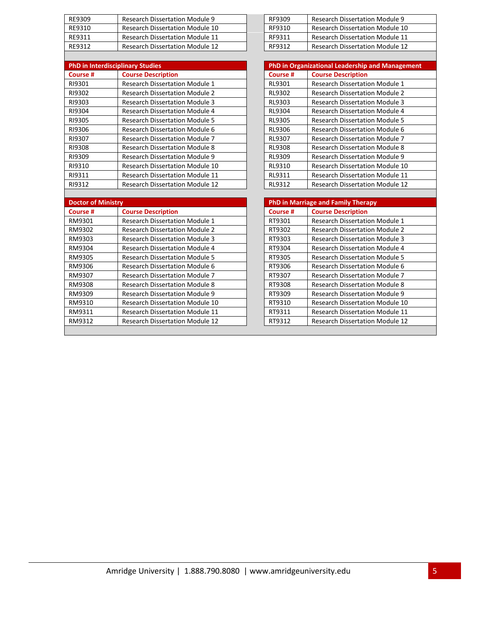| RE9309 | <b>Research Dissertation Module 9</b>  | RF9309 | <b>Research Dissertation Module 9</b>  |
|--------|----------------------------------------|--------|----------------------------------------|
| RE9310 | <b>Research Dissertation Module 10</b> | RF9310 | <b>Research Dissertation Module 10</b> |
| RF9311 | <b>Research Dissertation Module 11</b> | RF9311 | <b>Research Dissertation Module 11</b> |
| RF9312 | <b>Research Dissertation Module 12</b> | RF9312 | <b>Research Dissertation Module 12</b> |
|        |                                        |        |                                        |

| <b>PhD in Interdisciplinary Studies</b> |                                        |          | <b>PhD in Organizational Leadership and Management</b> |
|-----------------------------------------|----------------------------------------|----------|--------------------------------------------------------|
| Course #                                | <b>Course Description</b>              | Course # | <b>Course Description</b>                              |
| RI9301                                  | <b>Research Dissertation Module 1</b>  | RL9301   | <b>Research Dissertation Module 1</b>                  |
| RI9302                                  | <b>Research Dissertation Module 2</b>  | RL9302   | <b>Research Dissertation Module 2</b>                  |
| RI9303                                  | <b>Research Dissertation Module 3</b>  | RL9303   | <b>Research Dissertation Module 3</b>                  |
| RI9304                                  | <b>Research Dissertation Module 4</b>  | RL9304   | <b>Research Dissertation Module 4</b>                  |
| RI9305                                  | <b>Research Dissertation Module 5</b>  | RL9305   | <b>Research Dissertation Module 5</b>                  |
| RI9306                                  | <b>Research Dissertation Module 6</b>  | RL9306   | <b>Research Dissertation Module 6</b>                  |
| RI9307                                  | <b>Research Dissertation Module 7</b>  | RL9307   | <b>Research Dissertation Module 7</b>                  |
| RI9308                                  | <b>Research Dissertation Module 8</b>  | RL9308   | <b>Research Dissertation Module 8</b>                  |
| RI9309                                  | <b>Research Dissertation Module 9</b>  | RL9309   | <b>Research Dissertation Module 9</b>                  |
| RI9310                                  | <b>Research Dissertation Module 10</b> | RL9310   | <b>Research Dissertation Module 10</b>                 |
| RI9311                                  | <b>Research Dissertation Module 11</b> | RL9311   | <b>Research Dissertation Module 11</b>                 |
| RI9312                                  | <b>Research Dissertation Module 12</b> | RL9312   | <b>Research Dissertation Module 12</b>                 |

| <b>Doctor of Ministry</b> |                                        | <b>PhD in Marriage and Family Therapy</b> |                                        |
|---------------------------|----------------------------------------|-------------------------------------------|----------------------------------------|
| Course #                  | <b>Course Description</b>              | Course #                                  | <b>Course Description</b>              |
| RM9301                    | <b>Research Dissertation Module 1</b>  | RT9301                                    | <b>Research Dissertation Module 1</b>  |
| RM9302                    | <b>Research Dissertation Module 2</b>  | RT9302                                    | <b>Research Dissertation Module 2</b>  |
| RM9303                    | <b>Research Dissertation Module 3</b>  | RT9303                                    | <b>Research Dissertation Module 3</b>  |
| RM9304                    | <b>Research Dissertation Module 4</b>  | RT9304                                    | <b>Research Dissertation Module 4</b>  |
| RM9305                    | <b>Research Dissertation Module 5</b>  | RT9305                                    | <b>Research Dissertation Module 5</b>  |
| RM9306                    | Research Dissertation Module 6         | RT9306                                    | Research Dissertation Module 6         |
| RM9307                    | Research Dissertation Module 7         | RT9307                                    | <b>Research Dissertation Module 7</b>  |
| RM9308                    | <b>Research Dissertation Module 8</b>  | RT9308                                    | <b>Research Dissertation Module 8</b>  |
| RM9309                    | <b>Research Dissertation Module 9</b>  | RT9309                                    | <b>Research Dissertation Module 9</b>  |
| RM9310                    | <b>Research Dissertation Module 10</b> | RT9310                                    | <b>Research Dissertation Module 10</b> |
| RM9311                    | <b>Research Dissertation Module 11</b> | RT9311                                    | <b>Research Dissertation Module 11</b> |
| RM9312                    | <b>Research Dissertation Module 12</b> | RT9312                                    | <b>Research Dissertation Module 12</b> |
|                           |                                        |                                           |                                        |

| RF9309 | <b>Research Dissertation Module 9</b>  |
|--------|----------------------------------------|
| RF9310 | Research Dissertation Module 10        |
| RF9311 | <b>Research Dissertation Module 11</b> |
| RF9312 | Research Dissertation Module 12        |

| <b>PhD in Organizational Leadership and Management</b> |                                        |  |  |
|--------------------------------------------------------|----------------------------------------|--|--|
| Course #                                               | <b>Course Description</b>              |  |  |
| RL9301                                                 | <b>Research Dissertation Module 1</b>  |  |  |
| RL9302                                                 | <b>Research Dissertation Module 2</b>  |  |  |
| RL9303                                                 | <b>Research Dissertation Module 3</b>  |  |  |
| RL9304                                                 | <b>Research Dissertation Module 4</b>  |  |  |
| RL9305                                                 | <b>Research Dissertation Module 5</b>  |  |  |
| RL9306                                                 | <b>Research Dissertation Module 6</b>  |  |  |
| RL9307                                                 | <b>Research Dissertation Module 7</b>  |  |  |
| RL9308                                                 | <b>Research Dissertation Module 8</b>  |  |  |
| RL9309                                                 | <b>Research Dissertation Module 9</b>  |  |  |
| RL9310                                                 | <b>Research Dissertation Module 10</b> |  |  |
| RL9311                                                 | <b>Research Dissertation Module 11</b> |  |  |
| RL9312                                                 | <b>Research Dissertation Module 12</b> |  |  |

| <b>PhD in Marriage and Family Therapy</b> |                                        |  |
|-------------------------------------------|----------------------------------------|--|
| Course #                                  | <b>Course Description</b>              |  |
| RT9301                                    | <b>Research Dissertation Module 1</b>  |  |
| RT9302                                    | <b>Research Dissertation Module 2</b>  |  |
| RT9303                                    | <b>Research Dissertation Module 3</b>  |  |
| RT9304                                    | <b>Research Dissertation Module 4</b>  |  |
| RT9305                                    | <b>Research Dissertation Module 5</b>  |  |
| RT9306                                    | Research Dissertation Module 6         |  |
| RT9307                                    | <b>Research Dissertation Module 7</b>  |  |
| RT9308                                    | <b>Research Dissertation Module 8</b>  |  |
| RT9309                                    | <b>Research Dissertation Module 9</b>  |  |
| RT9310                                    | <b>Research Dissertation Module 10</b> |  |
| RT9311                                    | <b>Research Dissertation Module 11</b> |  |
| RT9312                                    | <b>Research Dissertation Module 12</b> |  |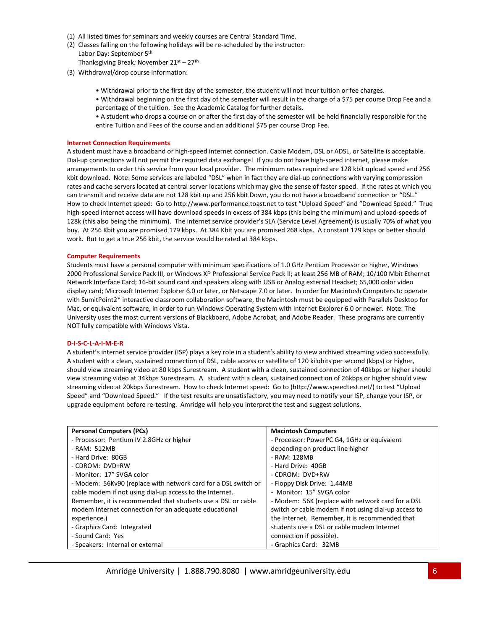- (1) All listed times for seminars and weekly courses are Central Standard Time.
- (2) Classes falling on the following holidays will be re-scheduled by the instructor: Labor Day: September 5th

Thanksgiving Break*:* November 21st – 27th

- (3) Withdrawal/drop course information:
	- Withdrawal prior to the first day of the semester, the student will not incur tuition or fee charges.
	- Withdrawal beginning on the first day of the semester will result in the charge of a \$75 per course Drop Fee and a percentage of the tuition. See the Academic Catalog for further details.
	- A student who drops a course on or after the first day of the semester will be held financially responsible for the entire Tuition and Fees of the course and an additional \$75 per course Drop Fee.

### **Internet Connection Requirements**

A student must have a broadband or high-speed internet connection. Cable Modem, DSL or ADSL, or Satellite is acceptable. Dial-up connections will not permit the required data exchange! If you do not have high-speed internet, please make arrangements to order this service from your local provider. The minimum rates required are 128 kbit upload speed and 256 kbit download. Note: Some services are labeled "DSL" when in fact they are dial-up connections with varying compression rates and cache servers located at central server locations which may give the sense of faster speed. If the rates at which you can transmit and receive data are not 128 kbit up and 256 kbit Down, you do not have a broadband connection or "DSL." How to check Internet speed: Go to http://www.performance.toast.net to test "Upload Speed" and "Download Speed." True high-speed internet access will have download speeds in excess of 384 kbps (this being the minimum) and upload-speeds of 128k (this also being the minimum). The internet service provider's SLA (Service Level Agreement) is usually 70% of what you buy. At 256 Kbit you are promised 179 kbps. At 384 Kbit you are promised 268 kbps. A constant 179 kbps or better should work. But to get a true 256 kbit, the service would be rated at 384 kbps.

#### **Computer Requirements**

Students must have a personal computer with minimum specifications of 1.0 GHz Pentium Processor or higher, Windows 2000 Professional Service Pack III, or Windows XP Professional Service Pack II; at least 256 MB of RAM; 10/100 Mbit Ethernet Network Interface Card; 16-bit sound card and speakers along with USB or Analog external Headset; 65,000 color video display card; Microsoft Internet Explorer 6.0 or later, or Netscape 7.0 or later. In order for Macintosh Computers to operate with SumitPoint2\* interactive classroom collaboration software, the Macintosh must be equipped with Parallels Desktop for Mac, or equivalent software, in order to run Windows Operating System with Internet Explorer 6.0 or newer. Note: The University uses the most current versions of Blackboard, Adobe Acrobat, and Adobe Reader. These programs are currently NOT fully compatible with Windows Vista.

#### **D-I-S-C-L-A-I-M-E-R**

A student's internet service provider (ISP) plays a key role in a student's ability to view archived streaming video successfully. A student with a clean, sustained connection of DSL, cable access or satellite of 120 kilobits per second (kbps) or higher, should view streaming video at 80 kbps Surestream. A student with a clean, sustained connection of 40kbps or higher should view streaming video at 34kbps Surestream. A student with a clean, sustained connection of 26kbps or higher should view streaming video at 20kbps Surestream. How to check Internet speed: Go to (http://www.speedtest.net/) to test "Upload Speed" and "Download Speed." If the test results are unsatisfactory, you may need to notify your ISP, change your ISP, or upgrade equipment before re-testing. Amridge will help you interpret the test and suggest solutions.

| <b>Personal Computers (PCs)</b>                                | <b>Macintosh Computers</b>                           |  |
|----------------------------------------------------------------|------------------------------------------------------|--|
| - Processor: Pentium IV 2.8GHz or higher                       | - Processor: PowerPC G4, 1GHz or equivalent          |  |
| - RAM: 512MB                                                   | depending on product line higher                     |  |
| - Hard Drive: 80GB                                             | - RAM: 128MB                                         |  |
| - CDROM: DVD+RW                                                | - Hard Drive: 40GB                                   |  |
| - Monitor: 17" SVGA color                                      | - CDROM: DVD+RW                                      |  |
| - Modem: 56Kv90 (replace with network card for a DSL switch or | - Floppy Disk Drive: 1.44MB                          |  |
| cable modem if not using dial-up access to the Internet.       | - Monitor: 15" SVGA color                            |  |
| Remember, it is recommended that students use a DSL or cable   | - Modem: 56K (replace with network card for a DSL    |  |
| modem Internet connection for an adequate educational          | switch or cable modem if not using dial-up access to |  |
| experience.)                                                   | the Internet. Remember, it is recommended that       |  |
| - Graphics Card: Integrated                                    | students use a DSL or cable modem Internet           |  |
| - Sound Card: Yes                                              | connection if possible).                             |  |
| - Speakers: Internal or external                               | - Graphics Card: 32MB                                |  |